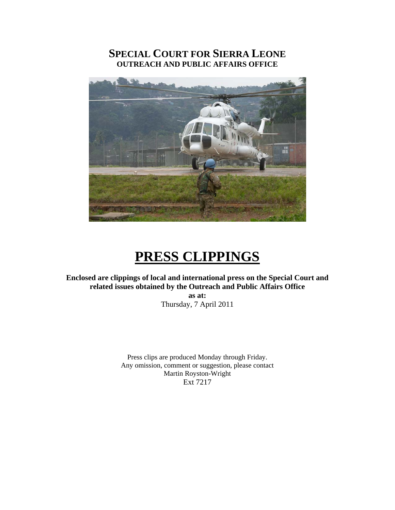# **SPECIAL COURT FOR SIERRA LEONE OUTREACH AND PUBLIC AFFAIRS OFFICE**



# **PRESS CLIPPINGS**

**Enclosed are clippings of local and international press on the Special Court and related issues obtained by the Outreach and Public Affairs Office as at:**  Thursday, 7 April 2011

> Press clips are produced Monday through Friday. Any omission, comment or suggestion, please contact Martin Royston-Wright Ext 7217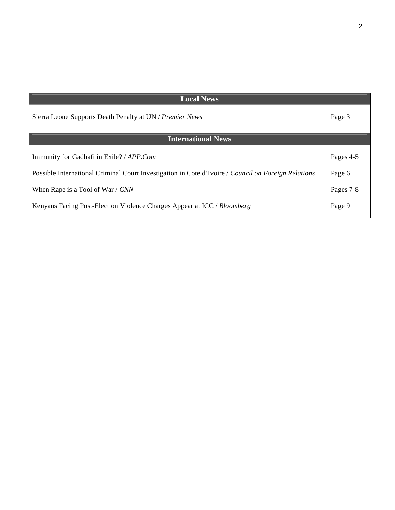| <b>Local News</b>                                                                                   |           |
|-----------------------------------------------------------------------------------------------------|-----------|
| Sierra Leone Supports Death Penalty at UN / Premier News                                            | Page 3    |
| <b>International News</b>                                                                           |           |
| Immunity for Gadhafi in Exile? / APP.Com                                                            | Pages 4-5 |
| Possible International Criminal Court Investigation in Cote d'Ivoire / Council on Foreign Relations | Page 6    |
| When Rape is a Tool of War / CNN                                                                    | Pages 7-8 |
| Kenyans Facing Post-Election Violence Charges Appear at ICC / Bloomberg                             | Page 9    |

 $\overline{\phantom{a}}$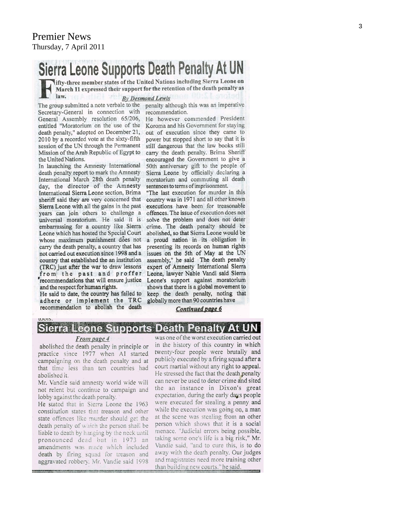# **Sierra Leone Supports Death Penalty At UN**

lifty-three member states of the United Nations including Sierra Leone on March 11 expressed their support for the retention of the death penalty as law.

#### **By Desmond Lewis**

The group submitted a note verbale to the Secretary-General in connection with General Assembly resolution 65/206, entitled "Moratorium on the use of the death penalty," adopted on December 21, 2010 by a recorded vote at the sixty-fifth session of the UN through the Permanent Mission of the Arab Republic of Egypt to the United Nations.

In launching the Amnesty International death penalty report to mark the Amnesty International March 28th death penalty day, the director of the Amnesty International Sierra Leone section, Brima sheriff said they are very concerned that Sierra Leone with all the gains in the past years can join others to challenge a universal moratorium. He said it is embarrassing for a country like Sierra Leone which has hosted the Special Court whose maximum punishment does not carry the death penalty, a country that has not carried out execution since 1998 and a country that established the an institution (TRC) just after the war to draw lessons from the past and proffer recommendations that will ensure justice and the respect for human rights.

He said to date, the country has failed to adhere or implement the TRC recommendation to abolish the death

**TUOIS** 

penalty although this was an imperative recommendation.

He however commended President Koroma and his Government for staying out of execution since they came to power but stopped short to say that it is still dangerous that the law books still carry the death penalty. Brima Sheriff encouraged the Government to give a 50th anniversary gift to the people of Sierra Leone by officially declaring a moratorium and commuting all death sentences to terms of imprisonment.

"The last execution for murder in this country was in 1971 and all other known executions have been for treasonable offences. The issue of execution does not solve the problem and does not deter crime. The death penalty should be abolished, so that Sierra Leone would be a proud nation in its obligation in presenting its records on human rights issues on the 5th of May at the UN assembly," he said The death penalty expert of Amnesty International Sierra Leone, lawyer Nabie Vandi said Sierra Leone's support against moratorium shows that there is a global movement to keep the death penalty, noting that globally more than 90 countries have

Continued page 6

## Sierra Leone Supports Death Penalty At UN

#### From page 4

abolished the death penalty in principle or practice since 1977 when AI started campaigning on the death penalty and at that time less than ten countries had abolished it.

Mr. Vandie said amnesty world wide will not relent but continue to campaign and lobby against the death penalty.

He stated that in Sierra Leone the 1963 constitution states that treason and other state offences like murder should get the death penalty of which the person shall be liable to death by hanging by the neck until pronounced dead but in 1973 an amendments was made which included death by firing squad for treason and aggravated robbery. Mr. Vandie said 1998

was one of the worst execution carried out in the history of this country in which twenty-four people were brutally and publicly executed by a firing squad after a court martial without any right to appeal. He stressed the fact that the death penalty can never be used to deter crime and sited the an instance in Dixon's great expectation, during the early days people were executed for stealing a penny and while the execution was going on, a man at the scene was stealing from an other person which shows that it is a social menace. "Judicial errors being possible, taking some one's life is a big risk," Mr. Vandie said, "and to cure this, is to do away with the death penalty. Our judges and magistrates need more training other than building new courts." he said.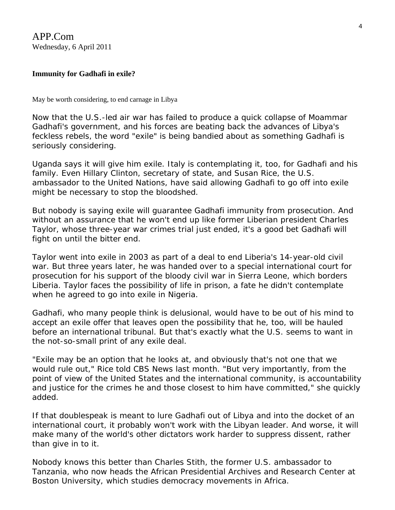APP.Com Wednesday, 6 April 2011

## **Immunity for Gadhafi in exile?**

May be worth considering, to end carnage in Libya

Now that the U.S.-led air war has failed to produce a quick collapse of Moammar Gadhafi's government, and his forces are beating back the advances of Libya's feckless rebels, the word "exile" is being bandied about as something Gadhafi is seriously considering.

Uganda says it will give him exile. Italy is contemplating it, too, for Gadhafi and his family. Even Hillary Clinton, secretary of state, and Susan Rice, the U.S. ambassador to the United Nations, have said allowing Gadhafi to go off into exile might be necessary to stop the bloodshed.

But nobody is saying exile will guarantee Gadhafi immunity from prosecution. And without an assurance that he won't end up like former Liberian president Charles Taylor, whose three-year war crimes trial just ended, it's a good bet Gadhafi will fight on until the bitter end.

Taylor went into exile in 2003 as part of a deal to end Liberia's 14-year-old civil war. But three years later, he was handed over to a special international court for prosecution for his support of the bloody civil war in Sierra Leone, which borders Liberia. Taylor faces the possibility of life in prison, a fate he didn't contemplate when he agreed to go into exile in Nigeria.

Gadhafi, who many people think is delusional, would have to be out of his mind to accept an exile offer that leaves open the possibility that he, too, will be hauled before an international tribunal. But that's exactly what the U.S. seems to want in the not-so-small print of any exile deal.

"Exile may be an option that he looks at, and obviously that's not one that we would rule out," Rice told CBS News last month. "But very importantly, from the point of view of the United States and the international community, is accountability and justice for the crimes he and those closest to him have committed," she quickly added.

If that doublespeak is meant to lure Gadhafi out of Libya and into the docket of an international court, it probably won't work with the Libyan leader. And worse, it will make many of the world's other dictators work harder to suppress dissent, rather than give in to it.

Nobody knows this better than Charles Stith, the former U.S. ambassador to Tanzania, who now heads the African Presidential Archives and Research Center at Boston University, which studies democracy movements in Africa.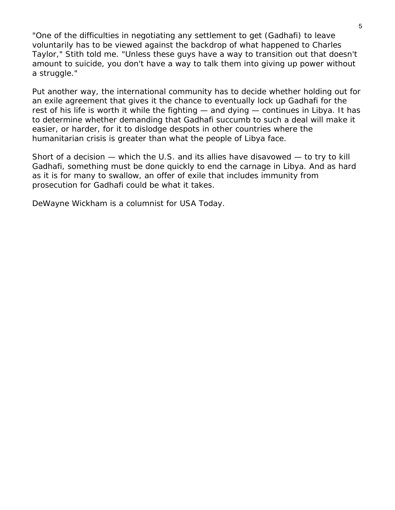"One of the difficulties in negotiating any settlement to get (Gadhafi) to leave voluntarily has to be viewed against the backdrop of what happened to Charles Taylor," Stith told me. "Unless these guys have a way to transition out that doesn't amount to suicide, you don't have a way to talk them into giving up power without a struggle."

Put another way, the international community has to decide whether holding out for an exile agreement that gives it the chance to eventually lock up Gadhafi for the rest of his life is worth it while the fighting — and dying — continues in Libya. It has to determine whether demanding that Gadhafi succumb to such a deal will make it easier, or harder, for it to dislodge despots in other countries where the humanitarian crisis is greater than what the people of Libya face.

Short of a decision — which the U.S. and its allies have disavowed — to try to kill Gadhafi, something must be done quickly to end the carnage in Libya. And as hard as it is for many to swallow, an offer of exile that includes immunity from prosecution for Gadhafi could be what it takes.

*DeWayne Wickham is a columnist for USA Today.*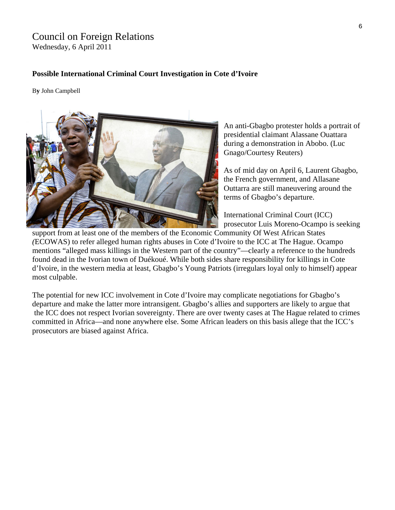# Council on Foreign Relations

Wednesday, 6 April 2011

## **[Possible International Criminal Court Investigation in Cote d'Ivoire](http://blogs.cfr.org/campbell/2011/04/06/possible-international-criminal-court-investigation-in-cote-divoire/)**

B**y** John Campbell



An anti-Gbagbo protester holds a portrait of presidential claimant Alassane Ouattara during a demonstration in Abobo. (Luc Gnago/Courtesy Reuters)

As of mid day on April 6, Laurent Gbagbo, the French government, and Allasane Outtarra are still maneuvering around the terms of Gbagbo's departure.

International Criminal Court (ICC) prosecutor Luis Moreno-Ocampo is seeking

support from at least one of the members of the Economic Community Of West African States *(*ECOWAS) to refer alleged human rights abuses in Cote d'Ivoire to the ICC at The Hague. Ocampo d'Ivoire, in the western media at least, Gbagbo's Young Patriots (irregulars loyal only to himself) appear [mentions](http://www.icc-cpi.int/NR/exeres/85A578D5-946A-44C3-9908-1C2243062EF0.htm) "alleged mass killings in the Western part of the country"—clearly a reference to the hundreds found dead in the Ivorian town of Duékoué. While both sides share responsibility for killings in Cote most culpable.

The potential for new ICC involvement in Cote d'Ivoire may complicate negotiations for Gbagbo's departure and make the latter more intransigent. Gbagbo's allies and supporters are likely to argue that the ICC does not respect Ivorian sovereignty. There are over twenty [cases](http://www.icc-cpi.int/Menus/ICC/Situations+and+Cases/Cases/) at The Hague related to crimes committed in Africa—and none anywhere else. Some African leaders on this basis allege that the ICC's prosecutors are biased against Africa.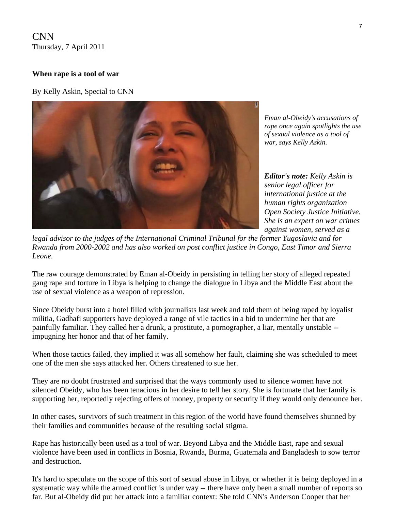CNN Thursday, 7 April 2011

### **When rape is a tool of war**

By Kelly Askin, Special to CNN



*Eman al-Obeidy's accusations of rape once again spotlights the use of sexual violence as a tool of war, says Kelly Askin.* 

*Editor's note: [Kelly Askin](http://www.soros.org/initiatives/justice/about/bios/askin) is senior legal officer for international justice at the human rights organization [Open Society Justice Initiative.](http://www.soros.org/initiatives/justice) She is an expert on war crimes against women, served as a* 

*legal advisor to the judges of the International Criminal Tribunal for the former Yugoslavia and for Rwanda from 2000-2002 and has also worked on post conflict justice in Congo, East Timor and Sierra Leone.* 

The raw courage demonstrated by Eman al-Obeidy in persisting in telling her story of alleged repeated gang rape and torture in Libya is helping to change the dialogue in Libya and the Middle East about the use of sexual violence as a weapon of repression.

Since Obeidy burst into a hotel filled with journalists last week and told them of being raped by loyalist militia, Gadhafi supporters have deployed a range of vile tactics in a bid to undermine her that are painfully familiar. They called her a drunk, a prostitute, a pornographer, a liar, mentally unstable - impugning her honor and that of her family.

When those tactics failed, they implied it was all somehow her fault, claiming she was scheduled to meet one of the men she says attacked her. Others threatened to sue her.

They are no doubt frustrated and surprised that the ways commonly used to silence women have not silenced Obeidy, who has been tenacious in her desire to tell her story. She is fortunate that her family is supporting her, reportedly rejecting offers of money, property or security if they would only denounce her.

In other cases, survivors of such treatment in this region of the world have found themselves shunned by their families and communities because of the resulting social stigma.

Rape has historically been used as a tool of war. Beyond Libya and the Middle East, rape and sexual violence have been used in conflicts in Bosnia, Rwanda, Burma, Guatemala and Bangladesh to sow terror and destruction.

It's hard to speculate on the scope of this sort of sexual abuse in Libya, or whether it is being deployed in a systematic way while the armed conflict is under way -- there have only been a small number of reports so far. But al-Obeidy did put her attack into a familiar context: She told CNN's Anderson Cooper that her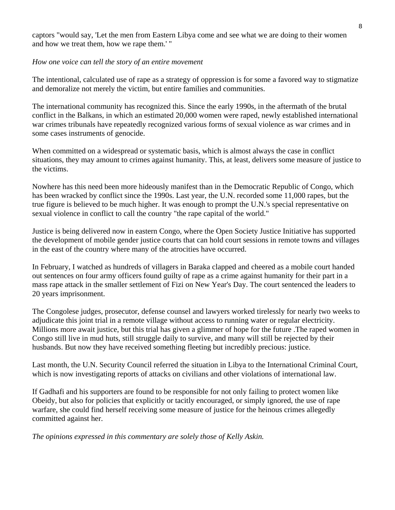captors "would say, 'Let the men from Eastern Libya come and see what we are doing to their women and how we treat them, how we rape them.' "

## *[How one voice can tell the story of an entire movement](http://edition.cnn.com/2011/WORLD/meast/04/01/arab.unrest.faces/index.html)*

The intentional, calculated use of rape as a strategy of oppression is for some a favored way to stigmatize and demoralize not merely the victim, but entire families and communities.

The international community has recognized this. Since the early 1990s, in the aftermath of the brutal conflict in the Balkans, in which an estimated 20,000 women were raped, newly established international war crimes tribunals have repeatedly recognized various forms of sexual violence as war crimes and in some cases instruments of genocide.

When committed on a widespread or systematic basis, which is almost always the case in conflict situations, they may amount to crimes against humanity. This, at least, delivers some measure of justice to the victims.

Nowhere has this need been more hideously manifest than in the Democratic Republic of Congo, which has been wracked by conflict since the 1990s. Last year, the U.N. recorded some 11,000 rapes, but the true figure is believed to be much higher. It was enough to prompt the U.N.'s special representative on sexual violence in conflict to call the country "the rape capital of the world."

Justice is being delivered now in eastern Congo, where the Open Society Justice Initiative has supported the development of mobile gender justice courts that can hold court sessions in remote towns and villages in the east of the country where many of the atrocities have occurred.

In February, I watched as hundreds of villagers in Baraka clapped and cheered as a mobile court handed out sentences on four army officers found guilty of rape as a crime against humanity for their part in a mass rape attack in the smaller settlement of Fizi on New Year's Day. The court sentenced the leaders to 20 years imprisonment.

The Congolese judges, prosecutor, defense counsel and lawyers worked tirelessly for nearly two weeks to adjudicate this joint trial in a remote village without access to running water or regular electricity. Millions more await justice, but this trial has given a glimmer of hope for the future .The raped women in Congo still live in mud huts, still struggle daily to survive, and many will still be rejected by their husbands. But now they have received something fleeting but incredibly precious: justice.

Last month, the U.N. Security Council referred the situation in Libya to the International Criminal Court, which is now investigating reports of attacks on civilians and other violations of international law.

If Gadhafi and his supporters are found to be responsible for not only failing to protect women like Obeidy, but also for policies that explicitly or tacitly encouraged, or simply ignored, the use of rape warfare, she could find herself receiving some measure of justice for the heinous crimes allegedly committed against her.

*The opinions expressed in this commentary are solely those of Kelly Askin.*